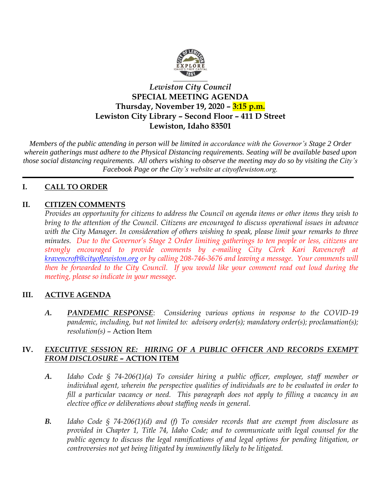

# *Lewiston City Council* **SPECIAL MEETING AGENDA Thursday, November 19, 2020 – 3:15 p.m. Lewiston City Library – Second Floor – 411 D Street Lewiston, Idaho 83501**

*Members of the public attending in person will be limited in accordance with the Governor's Stage 2 Order wherein gatherings must adhere to the Physical Distancing requirements. Seating will be available based upon those social distancing requirements. All others wishing to observe the meeting may do so by visiting the City's Facebook Page or the City's website at cityoflewiston.org.* 

# **I. CALL TO ORDER**

# **II. CITIZEN COMMENTS**

*Provides an opportunity for citizens to address the Council on agenda items or other items they wish to bring to the attention of the Council. Citizens are encouraged to discuss operational issues in advance with the City Manager. In consideration of others wishing to speak, please limit your remarks to three minutes. Due to the Governor's Stage 2 Order limiting gatherings to ten people or less, citizens are strongly encouraged to provide comments by e-mailing City Clerk Kari Ravencroft at [kravencroft@cityoflewiston.org](mailto:kravencroft@cityoflewiston.org) or by calling 208-746-3676 and leaving a message. Your comments will then be forwarded to the City Council. If you would like your comment read out loud during the meeting, please so indicate in your message.* 

## **III. ACTIVE AGENDA**

*A. PANDEMIC RESPONSE*: *Considering various options in response to the COVID-19 pandemic, including, but not limited to: advisory order(s); mandatory order(s); proclamation(s); resolution(s)* – Action Item

### **IV.** *EXECUTIVE SESSION RE: HIRING OF A PUBLIC OFFICER AND RECORDS EXEMPT FROM DISCLOSURE –* **ACTION ITEM**

- *A. Idaho Code § 74-206(1)(a) To consider hiring a public officer, employee, staff member or individual agent, wherein the perspective qualities of individuals are to be evaluated in order to fill a particular vacancy or need. This paragraph does not apply to filling a vacancy in an elective office or deliberations about staffing needs in general.*
- *B. Idaho Code § 74-206(1)(d) and (f) To consider records that are exempt from disclosure as provided in Chapter 1, Title 74, Idaho Code; and to communicate with legal counsel for the public agency to discuss the legal ramifications of and legal options for pending litigation, or controversies not yet being litigated by imminently likely to be litigated.*